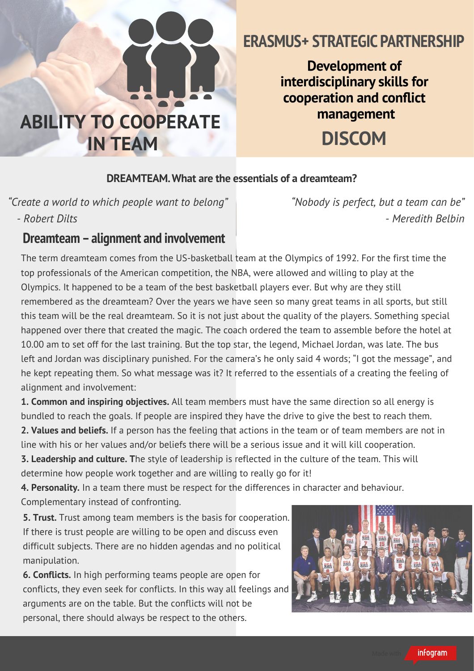

# **ERASMUS+ STRATEGIC PARTNERSHIP**

**Development of interdisciplinary skills for cooperation** and **conflict management**

**DISCOM**

#### **DREAMTEAM.What are the essentials of a dreamteam?**

*"Create a world to which people want to belong" - Robert Dilts*

*"Nobody is perfect, but a team can be" - Meredith Belbin*

#### **Dreamteam–alignment and involvement**

The term dreamteam comes from the US-basketball team at the Olympics of 1992. For the first time the top professionals of the American competition, the NBA, were allowed and willing to play at the Olympics. It happened to be a team of the best basketball players ever. But why are they still remembered as the dreamteam? Over the years we have seen so many great teams in all sports, but still this team will be the real dreamteam. So it is not just about the quality of the players. Something special happened over there that created the magic. The coach ordered the team to assemble before the hotel at 10.00 am to set off for the last training. But the top star, the legend, Michael Jordan, was late. The bus left and Jordan was disciplinary punished. For the camera's he only said 4 words; "I got the message", and he kept repeating them. So what message was it? It referred to the essentials of a creating the feeling of alignment and involvement:

**1. Common and inspiring objectives.** All team members must have the same direction so all energy is bundled to reach the goals. If people are inspired they have the drive to give the best to reach them.

**2. Values and beliefs.** If a person has the feeling that actions in the team or of team members are not in line with his or her values and/or beliefs there will be a serious issue and it will kill cooperation.

**3. Leadership and culture. T**he style of leadership is reflected in the culture of the team. This will determine how people work together and are willing to really go for it!

**4. Personality.** In a team there must be respect for the differences in character and behaviour. Complementary instead of confronting.

**5. Trust.** Trust among team members is the basis for cooperation. If there is trust people are willing to be open and discuss even difficult subjects. There are no hidden agendas and no political manipulation.

**6. Conflicts.** In high performing teams people are open for conflicts, they even seek for conflicts. In this way all feelings and arguments are on the table. But the conflicts will not be personal, there should always be respect to the others.



infogram